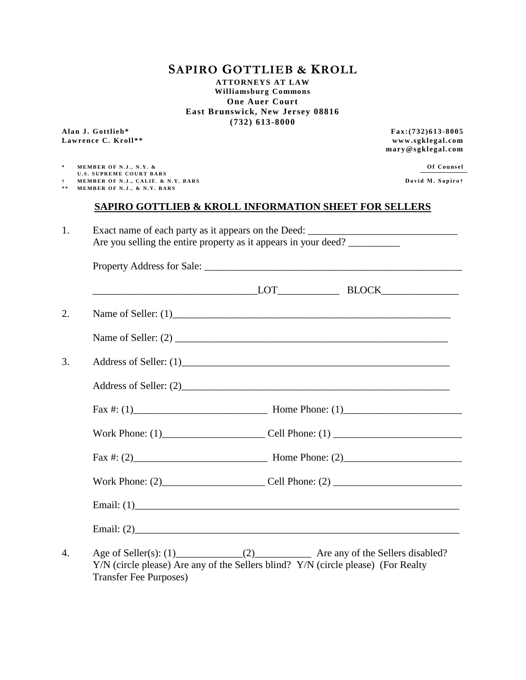# **SAPIRO GOTTLIEB & KROLL**

**ATTORNEYS AT LAW Williamsburg Commons One Auer Court East Brunswick, New Jersey 08816 (732) 613-8000**

**Alan J. Gottlieb\* Fax:(732)613 -8005 Lawrence C. Kroll\*\* www.sgklegal.com**

**mary@sgklegal.com**

| MEMBER OF N.J.,<br>N V<br>. | ounsel<br>_______ |
|-----------------------------|-------------------|
| <b>CHOODME CAHOT DADE</b>   |                   |

**U.S. SUPREME COURT BARS † M E M B E R O F N . J . , C A L I F . & N . Y . B A R S D a v i d M . S a p i r o†**

**\* \* M E M B E R O F N . J . , & N . Y . B A R S**

## **SAPIRO GOTTLIEB & KROLL INFORMATION SHEET FOR SELLERS**

| Exact name of each party as it appears on the Deed:             |
|-----------------------------------------------------------------|
| Are you selling the entire property as it appears in your deed? |
| Property Address for Sale:                                      |

|  | $LOT$ BLOCK                                                                       |  |  |
|--|-----------------------------------------------------------------------------------|--|--|
|  | Name of Seller: $(1)$                                                             |  |  |
|  |                                                                                   |  |  |
|  |                                                                                   |  |  |
|  |                                                                                   |  |  |
|  |                                                                                   |  |  |
|  |                                                                                   |  |  |
|  | Fax #: (2) $\qquad \qquad$ Home Phone: (2)                                        |  |  |
|  |                                                                                   |  |  |
|  |                                                                                   |  |  |
|  |                                                                                   |  |  |
|  | Y/N (circle please) Are any of the Sellers blind? Y/N (circle please) (For Realty |  |  |

Transfer Fee Purposes)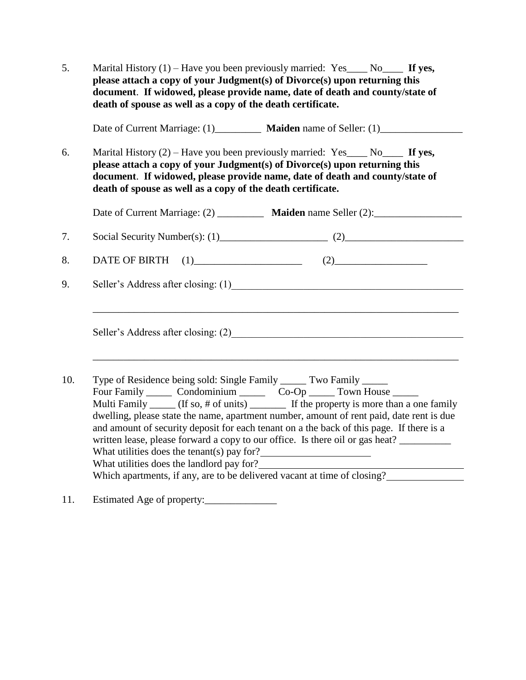| 5.  | Marital History $(1)$ – Have you been previously married: Yes____ No____ If yes,<br>please attach a copy of your Judgment(s) of Divorce(s) upon returning this<br>document. If widowed, please provide name, date of death and county/state of<br>death of spouse as well as a copy of the death certificate.                                                                                                                                                                                                                                                                                                                                                                                                   |  |  |  |  |
|-----|-----------------------------------------------------------------------------------------------------------------------------------------------------------------------------------------------------------------------------------------------------------------------------------------------------------------------------------------------------------------------------------------------------------------------------------------------------------------------------------------------------------------------------------------------------------------------------------------------------------------------------------------------------------------------------------------------------------------|--|--|--|--|
|     | Date of Current Marriage: (1) Maiden name of Seller: (1)                                                                                                                                                                                                                                                                                                                                                                                                                                                                                                                                                                                                                                                        |  |  |  |  |
| 6.  | Marital History $(2)$ – Have you been previously married: Yes____ No____ If yes,<br>please attach a copy of your Judgment(s) of Divorce(s) upon returning this<br>document. If widowed, please provide name, date of death and county/state of<br>death of spouse as well as a copy of the death certificate.                                                                                                                                                                                                                                                                                                                                                                                                   |  |  |  |  |
|     | Date of Current Marriage: (2) ___________ Maiden name Seller (2): _______________                                                                                                                                                                                                                                                                                                                                                                                                                                                                                                                                                                                                                               |  |  |  |  |
| 7.  | Social Security Number(s): $(1)$ (2)                                                                                                                                                                                                                                                                                                                                                                                                                                                                                                                                                                                                                                                                            |  |  |  |  |
| 8.  | <b>DATE OF BIRTH</b>                                                                                                                                                                                                                                                                                                                                                                                                                                                                                                                                                                                                                                                                                            |  |  |  |  |
| 9.  |                                                                                                                                                                                                                                                                                                                                                                                                                                                                                                                                                                                                                                                                                                                 |  |  |  |  |
|     | Seller's Address after closing: (2)                                                                                                                                                                                                                                                                                                                                                                                                                                                                                                                                                                                                                                                                             |  |  |  |  |
| 10. | Type of Residence being sold: Single Family ______ Two Family ______<br>Four Family ________ Condominium _________ Co-Op _______ Town House ______<br>Multi Family ______ (If so, # of units) _________ If the property is more than a one family<br>dwelling, please state the name, apartment number, amount of rent paid, date rent is due<br>and amount of security deposit for each tenant on a the back of this page. If there is a<br>written lease, please forward a copy to our office. Is there oil or gas heat?<br>What utilities does the tenant(s) pay for? $\frac{1}{2}$<br>What utilities does the landlord pay for?<br>Which apartments, if any, are to be delivered vacant at time of closing? |  |  |  |  |

11. Estimated Age of property:\_\_\_\_\_\_\_\_\_\_\_\_\_\_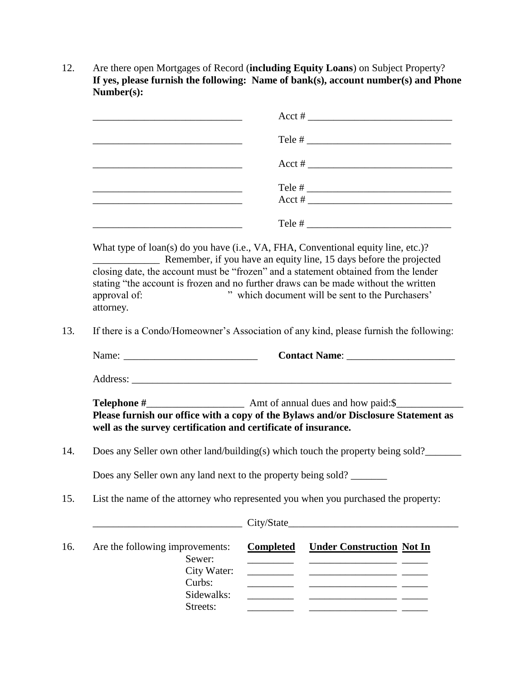12. Are there open Mortgages of Record (**including Equity Loans**) on Subject Property? **If yes, please furnish the following: Name of bank(s), account number(s) and Phone Number(s):**

| the control of the control of the control of the control of the control of the control of<br>Tele $#$                                                                       |                  |                                                                                           |  |  |                                                             |  |  |
|-----------------------------------------------------------------------------------------------------------------------------------------------------------------------------|------------------|-------------------------------------------------------------------------------------------|--|--|-------------------------------------------------------------|--|--|
|                                                                                                                                                                             |                  |                                                                                           |  |  | <u> 1989 - Johann Stoff, amerikansk politiker (d. 1989)</u> |  |  |
|                                                                                                                                                                             |                  |                                                                                           |  |  |                                                             |  |  |
| What type of loan(s) do you have (i.e., VA, FHA, Conventional equity line, etc.)?<br><b>EXAMPLE 2.15</b> Remember, if you have an equity line, 15 days before the projected |                  |                                                                                           |  |  |                                                             |  |  |
| closing date, the account must be "frozen" and a statement obtained from the lender                                                                                         |                  |                                                                                           |  |  |                                                             |  |  |
| stating "the account is frozen and no further draws can be made without the written                                                                                         |                  |                                                                                           |  |  |                                                             |  |  |
| " which document will be sent to the Purchasers'<br>approval of:<br>attorney.                                                                                               |                  |                                                                                           |  |  |                                                             |  |  |
|                                                                                                                                                                             |                  |                                                                                           |  |  |                                                             |  |  |
| If there is a Condo/Homeowner's Association of any kind, please furnish the following:                                                                                      |                  |                                                                                           |  |  |                                                             |  |  |
|                                                                                                                                                                             |                  |                                                                                           |  |  |                                                             |  |  |
|                                                                                                                                                                             |                  |                                                                                           |  |  |                                                             |  |  |
|                                                                                                                                                                             |                  |                                                                                           |  |  |                                                             |  |  |
| well as the survey certification and certificate of insurance.                                                                                                              |                  | Please furnish our office with a copy of the Bylaws and/or Disclosure Statement as        |  |  |                                                             |  |  |
| Does any Seller own other land/building(s) which touch the property being sold?                                                                                             |                  |                                                                                           |  |  |                                                             |  |  |
| Does any Seller own any land next to the property being sold?                                                                                                               |                  |                                                                                           |  |  |                                                             |  |  |
| List the name of the attorney who represented you when you purchased the property:                                                                                          |                  |                                                                                           |  |  |                                                             |  |  |
|                                                                                                                                                                             | City/State_      | the control of the control of the control of the control of the control of the control of |  |  |                                                             |  |  |
| Are the following improvements:                                                                                                                                             | <b>Completed</b> | <b>Under Construction Not In</b>                                                          |  |  |                                                             |  |  |
| Sewer:                                                                                                                                                                      |                  | <u> 1980 - Johann John Stone, mars et al. (</u>                                           |  |  |                                                             |  |  |
| City Water:<br>Curbs:                                                                                                                                                       |                  |                                                                                           |  |  |                                                             |  |  |
| Sidewalks:                                                                                                                                                                  |                  |                                                                                           |  |  |                                                             |  |  |
| Streets:                                                                                                                                                                    |                  |                                                                                           |  |  |                                                             |  |  |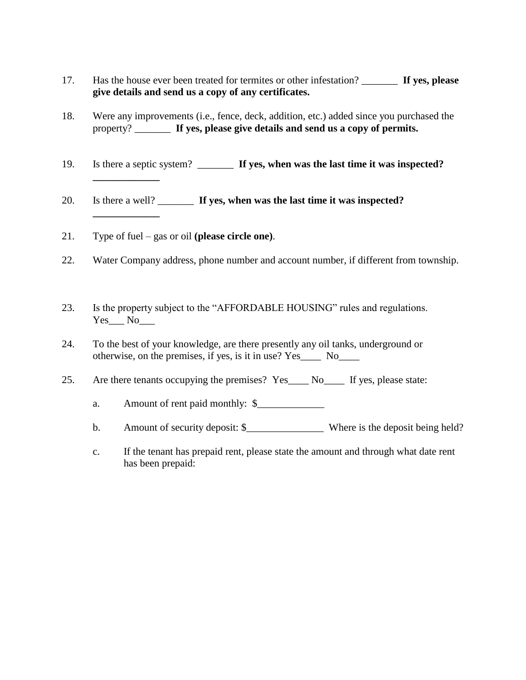- 17. Has the house ever been treated for termites or other infestation? \_\_\_\_\_\_\_ **If yes, please give details and send us a copy of any certificates.**
- 18. Were any improvements (i.e., fence, deck, addition, etc.) added since you purchased the property? \_\_\_\_\_\_\_ **If yes, please give details and send us a copy of permits.**
- 19. Is there a septic system? \_\_\_\_\_\_\_ **If yes, when was the last time it was inspected?**
- 20. Is there a well? \_\_\_\_\_\_\_ **If yes, when was the last time it was inspected? \_\_\_\_\_\_\_\_\_\_\_\_\_**
- 21. Type of fuel gas or oil **(please circle one)**.

**\_\_\_\_\_\_\_\_\_\_\_\_\_**

- 22. Water Company address, phone number and account number, if different from township.
- 23. Is the property subject to the "AFFORDABLE HOUSING" rules and regulations. Yes\_\_\_ No\_\_\_
- 24. To the best of your knowledge, are there presently any oil tanks, underground or otherwise, on the premises, if yes, is it in use? Yes\_\_\_\_ No\_\_\_\_
- 25. Are there tenants occupying the premises? Yes\_\_\_\_ No\_\_\_\_ If yes, please state:
	- a. Amount of rent paid monthly:  $\$
	- b. Amount of security deposit: \$\_\_\_\_\_\_\_\_\_\_\_\_\_\_\_ Where is the deposit being held?
	- c. If the tenant has prepaid rent, please state the amount and through what date rent has been prepaid: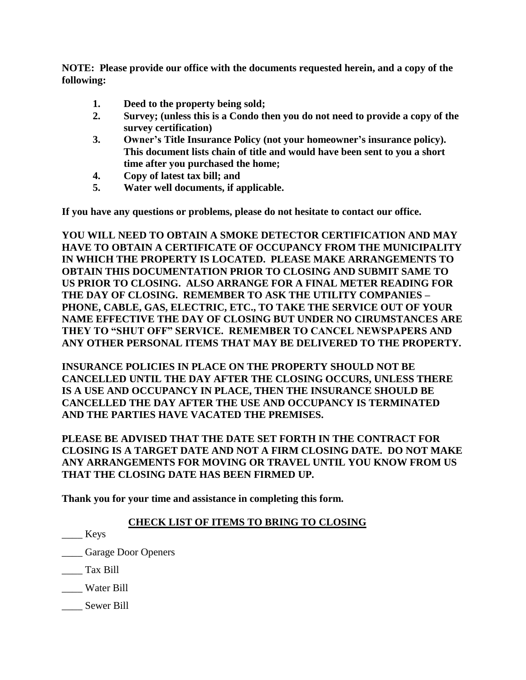**NOTE: Please provide our office with the documents requested herein, and a copy of the following:**

- **1. Deed to the property being sold;**
- **2. Survey; (unless this is a Condo then you do not need to provide a copy of the survey certification)**
- **3. Owner's Title Insurance Policy (not your homeowner's insurance policy). This document lists chain of title and would have been sent to you a short time after you purchased the home;**
- **4. Copy of latest tax bill; and**
- **5. Water well documents, if applicable.**

**If you have any questions or problems, please do not hesitate to contact our office.**

**YOU WILL NEED TO OBTAIN A SMOKE DETECTOR CERTIFICATION AND MAY HAVE TO OBTAIN A CERTIFICATE OF OCCUPANCY FROM THE MUNICIPALITY IN WHICH THE PROPERTY IS LOCATED. PLEASE MAKE ARRANGEMENTS TO OBTAIN THIS DOCUMENTATION PRIOR TO CLOSING AND SUBMIT SAME TO US PRIOR TO CLOSING. ALSO ARRANGE FOR A FINAL METER READING FOR THE DAY OF CLOSING. REMEMBER TO ASK THE UTILITY COMPANIES – PHONE, CABLE, GAS, ELECTRIC, ETC., TO TAKE THE SERVICE OUT OF YOUR NAME EFFECTIVE THE DAY OF CLOSING BUT UNDER NO CIRUMSTANCES ARE THEY TO "SHUT OFF" SERVICE. REMEMBER TO CANCEL NEWSPAPERS AND ANY OTHER PERSONAL ITEMS THAT MAY BE DELIVERED TO THE PROPERTY.** 

**INSURANCE POLICIES IN PLACE ON THE PROPERTY SHOULD NOT BE CANCELLED UNTIL THE DAY AFTER THE CLOSING OCCURS, UNLESS THERE IS A USE AND OCCUPANCY IN PLACE, THEN THE INSURANCE SHOULD BE CANCELLED THE DAY AFTER THE USE AND OCCUPANCY IS TERMINATED AND THE PARTIES HAVE VACATED THE PREMISES.**

**PLEASE BE ADVISED THAT THE DATE SET FORTH IN THE CONTRACT FOR CLOSING IS A TARGET DATE AND NOT A FIRM CLOSING DATE. DO NOT MAKE ANY ARRANGEMENTS FOR MOVING OR TRAVEL UNTIL YOU KNOW FROM US THAT THE CLOSING DATE HAS BEEN FIRMED UP.** 

**Thank you for your time and assistance in completing this form.**

### **CHECK LIST OF ITEMS TO BRING TO CLOSING**

\_\_\_\_ Keys

\_\_\_\_ Garage Door Openers

\_\_\_\_ Tax Bill

\_\_\_\_ Water Bill

\_\_\_\_ Sewer Bill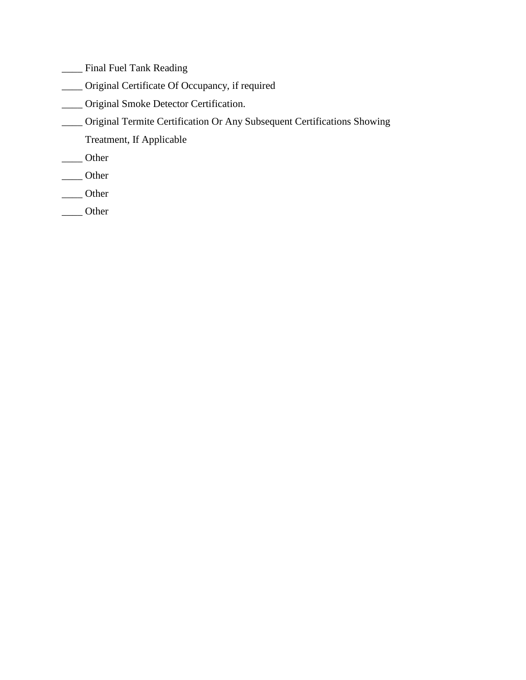\_\_\_\_ Final Fuel Tank Reading

- \_\_\_\_ Original Certificate Of Occupancy, if required
- \_\_\_\_ Original Smoke Detector Certification.
- \_\_\_\_ Original Termite Certification Or Any Subsequent Certifications Showing
	- Treatment, If Applicable
- \_\_\_\_ Other
- \_\_\_\_ Other
- \_\_\_\_ Other
- \_\_\_\_ Other